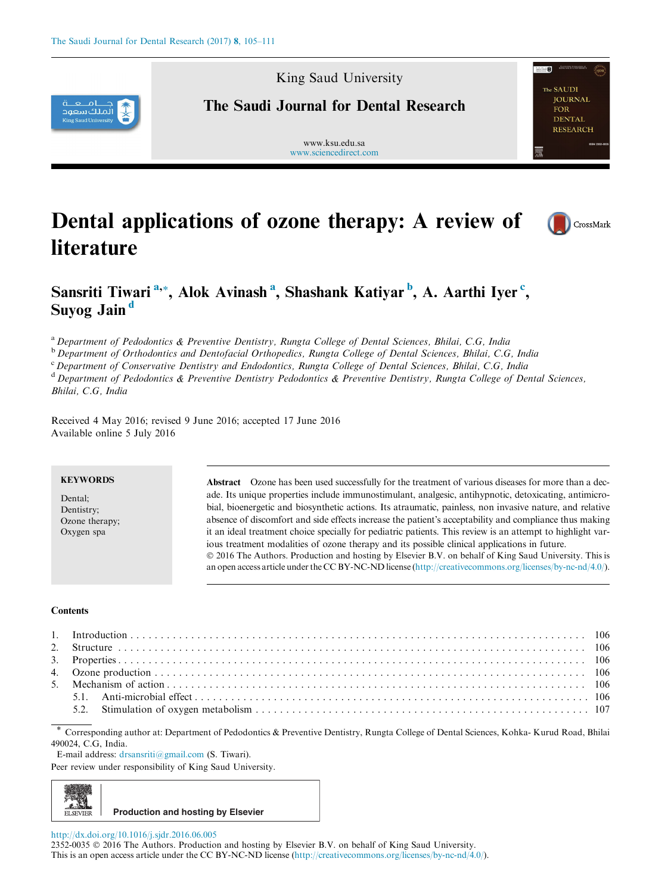

King Saud University

# The Saudi Journal for Dental Research

www.ksu.edu.sa [www.sciencedirect.com](http://www.sciencedirect.com/science/journal/23520035)



# Dental applications of ozone therapy: A review of **literature**



# Sansriti Tiwari <sup>a,</sup>\*, Alok Avinash <sup>a</sup>, Shashank Katiyar <sup>b</sup>, A. Aarthi Iyer <sup>c</sup>, Suyog Jain<sup>d</sup>

<sup>a</sup> Department of Pedodontics & Preventive Dentistry, Rungta College of Dental Sciences, Bhilai, C.G, India

<sup>b</sup> Department of Orthodontics and Dentofacial Orthopedics, Rungta College of Dental Sciences, Bhilai, C.G, India

<sup>c</sup> Department of Conservative Dentistry and Endodontics, Rungta College of Dental Sciences, Bhilai, C.G, India <sup>d</sup> Department of Pedodontics & Preventive Dentistry Pedodontics & Preventive Dentistry, Rungta College of Dental Sciences, Bhilai, C.G, India

Received 4 May 2016; revised 9 June 2016; accepted 17 June 2016 Available online 5 July 2016

## **KEYWORDS**

Dental; Dentistry; Ozone therapy; Oxygen spa

Abstract Ozone has been used successfully for the treatment of various diseases for more than a decade. Its unique properties include immunostimulant, analgesic, antihypnotic, detoxicating, antimicrobial, bioenergetic and biosynthetic actions. Its atraumatic, painless, non invasive nature, and relative absence of discomfort and side effects increase the patient's acceptability and compliance thus making it an ideal treatment choice specially for pediatric patients. This review is an attempt to highlight various treatment modalities of ozone therapy and its possible clinical applications in future. 2016 The Authors. Production and hosting by Elsevier B.V. on behalf of King Saud University. This is an open access article under the CC BY-NC-ND license ([http://creativecommons.org/licenses/by-nc-nd/4.0/\)](http://creativecommons.org/licenses/by-nc-nd/4.0/).

#### **Contents**

\* Corresponding author at: Department of Pedodontics & Preventive Dentistry, Rungta College of Dental Sciences, Kohka- Kurud Road, Bhilai 490024, C.G, India.

E-mail address: [drsansriti@gmail.com](mailto:drsansriti@gmail.com) (S. Tiwari).

Peer review under responsibility of King Saud University.



<http://dx.doi.org/10.1016/j.sjdr.2016.06.005>

2352-0035  $\odot$  2016 The Authors. Production and hosting by Elsevier B.V. on behalf of King Saud University. This is an open access article under the CC BY-NC-ND license ([http://creativecommons.org/licenses/by-nc-nd/4.0/\)](http://creativecommons.org/licenses/by-nc-nd/4.0/).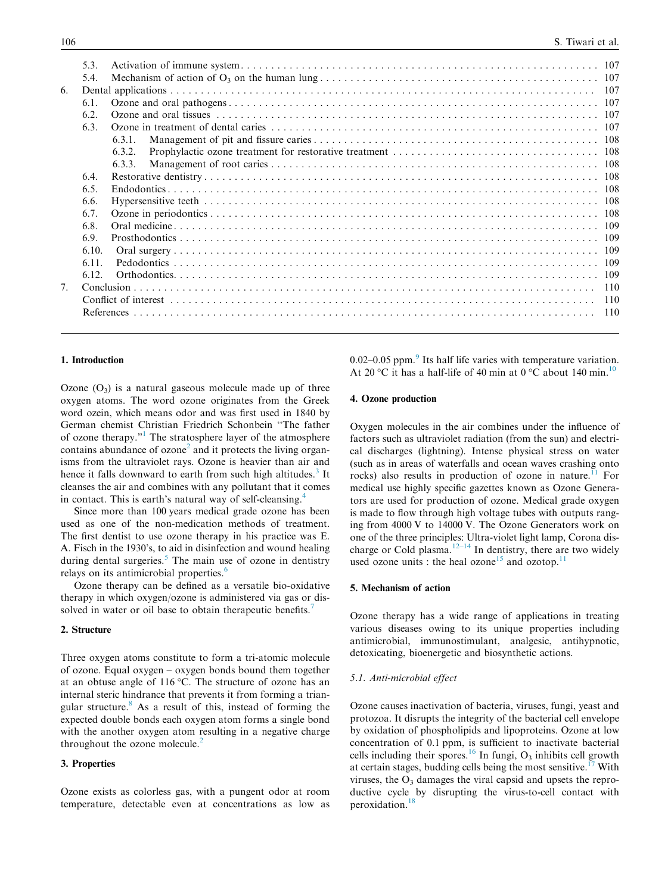|                | 5.3.  |        |  |
|----------------|-------|--------|--|
|                | 5.4.  |        |  |
| 6.             |       |        |  |
|                | 6.1.  |        |  |
|                | 6.2.  |        |  |
|                | 6.3.  |        |  |
|                |       | 6.3.1. |  |
|                |       | 6.3.2. |  |
|                |       | 6.3.3. |  |
|                | 6.4.  |        |  |
|                | 6.5.  |        |  |
|                | 6.6.  |        |  |
|                | 6.7.  |        |  |
|                | 6.8.  |        |  |
|                | 6.9.  |        |  |
|                | 6.10. |        |  |
|                | 6.11. |        |  |
|                | 6.12. |        |  |
| 7 <sub>1</sub> |       |        |  |
|                |       |        |  |
|                |       |        |  |
|                |       |        |  |

# 1. Introduction

Ozone  $(O_3)$  is a natural gaseous molecule made up of three oxygen atoms. The word ozone originates from the Greek word ozein, which means odor and was first used in 1840 by German chemist Christian Friedrich Schonbein ''The father of ozone therapy."[1](#page-5-0) The stratosphere layer of the atmosphere contains abundance of  $\alpha$ zone<sup>[2](#page-5-0)</sup> and it protects the living organisms from the ultraviolet rays. Ozone is heavier than air and hence it falls downward to earth from such high altitudes.<sup>[3](#page-5-0)</sup> It cleanses the air and combines with any pollutant that it comes in contact. This is earth's natural way of self-cleansing.<sup>[4](#page-5-0)</sup>

Since more than 100 years medical grade ozone has been used as one of the non-medication methods of treatment. The first dentist to use ozone therapy in his practice was E. A. Fisch in the 1930's, to aid in disinfection and wound healing during dental surgeries. $5$  The main use of ozone in dentistry relays on its antimicrobial properties.<sup>[6](#page-5-0)</sup>

Ozone therapy can be defined as a versatile bio-oxidative therapy in which oxygen/ozone is administered via gas or dis-solved in water or oil base to obtain therapeutic benefits.<sup>[7](#page-5-0)</sup>

#### 2. Structure

Three oxygen atoms constitute to form a tri-atomic molecule of ozone. Equal oxygen – oxygen bonds bound them together at an obtuse angle of  $116\,^{\circ}$ C. The structure of ozone has an internal steric hindrance that prevents it from forming a triangular structure.[8](#page-5-0) As a result of this, instead of forming the expected double bonds each oxygen atom forms a single bond with the another oxygen atom resulting in a negative charge throughout the ozone molecule.<sup>2</sup>

# 3. Properties

Ozone exists as colorless gas, with a pungent odor at room temperature, detectable even at concentrations as low as 0.02–0.05 ppm. $\degree$  Its half life varies with temperature variation. At 20 °C it has a half-life of 40 min at 0 °C about 140 min.<sup>[10](#page-5-0)</sup>

# 4. Ozone production

Oxygen molecules in the air combines under the influence of factors such as ultraviolet radiation (from the sun) and electrical discharges (lightning). Intense physical stress on water (such as in areas of waterfalls and ocean waves crashing onto rocks) also results in production of ozone in nature.<sup>[11](#page-5-0)</sup> For medical use highly specific gazettes known as Ozone Generators are used for production of ozone. Medical grade oxygen is made to flow through high voltage tubes with outputs ranging from 4000 V to 14000 V. The Ozone Generators work on one of the three principles: Ultra-violet light lamp, Corona dis-charge or Cold plasma.<sup>[12–14](#page-5-0)</sup> In dentistry, there are two widely used ozone units : the heal ozone<sup>[15](#page-5-0)</sup> and ozotop.<sup>1</sup>

#### 5. Mechanism of action

Ozone therapy has a wide range of applications in treating various diseases owing to its unique properties including antimicrobial, immunostimulant, analgesic, antihypnotic, detoxicating, bioenergetic and biosynthetic actions.

#### 5.1. Anti-microbial effect

Ozone causes inactivation of bacteria, viruses, fungi, yeast and protozoa. It disrupts the integrity of the bacterial cell envelope by oxidation of phospholipids and lipoproteins. Ozone at low concentration of 0.1 ppm, is sufficient to inactivate bacterial cells including their spores.<sup>[16](#page-5-0)</sup> In fungi,  $O_3$  inhibits cell growth at certain stages, budding cells being the most sensitive.<sup>[17](#page-5-0)</sup> With viruses, the  $O_3$  damages the viral capsid and upsets the reproductive cycle by disrupting the virus-to-cell contact with peroxidation.[18](#page-5-0)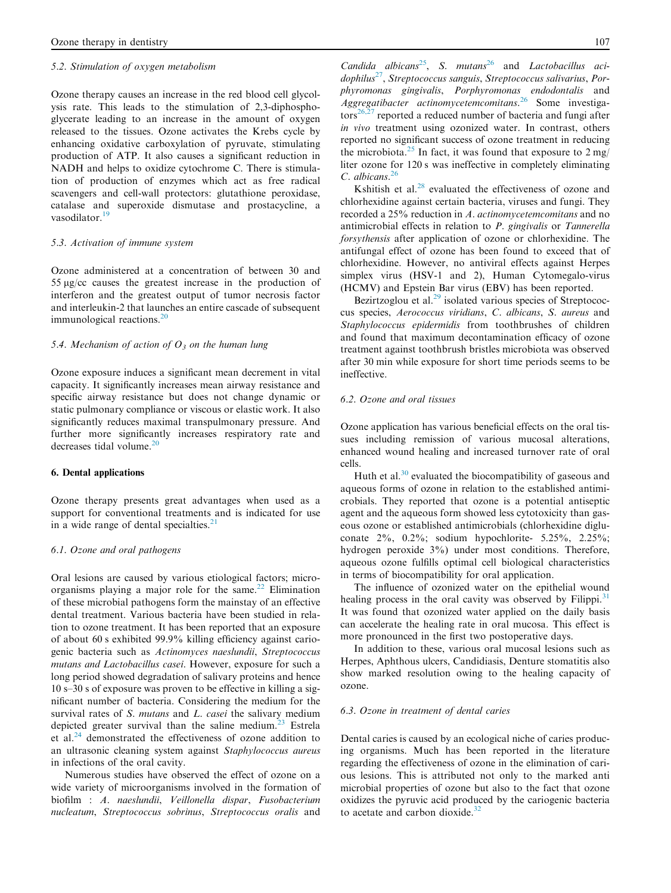#### 5.2. Stimulation of oxygen metabolism

[Ozone therapy](https://www.austinozone.com) causes an increase in the red blood cell glycolysis rate. This leads to the stimulation of 2,3-diphosphoglycerate leading to an increase in the amount of oxygen released to the tissues. Ozone activates the Krebs cycle by enhancing oxidative carboxylation of pyruvate, stimulating production of ATP. It also causes a significant reduction in NADH and helps to oxidize cytochrome C. There is stimulation of production of enzymes which act as free radical scavengers and cell-wall protectors: glutathione peroxidase, catalase and superoxide dismutase and prostacycline, a vasodilator.<sup>[19](#page-5-0)</sup>

# 5.3. Activation of immune system

Ozone administered at a concentration of between 30 and 55 lg/cc causes the greatest increase in the production of interferon and the greatest output of tumor necrosis factor and interleukin-2 that launches an entire cascade of subsequent immunological reactions. $^{20}$  $^{20}$  $^{20}$ 

#### 5.4. Mechanism of action of  $O<sub>3</sub>$  on the human lung

Ozone exposure induces a significant mean decrement in vital capacity. It significantly increases mean airway resistance and specific airway resistance but does not change dynamic or static pulmonary compliance or viscous or elastic work. It also significantly reduces maximal transpulmonary pressure. And further more significantly increases respiratory rate and decreases tidal volume. $20$ 

#### 6. Dental applications

Ozone therapy presents great advantages when used as a support for conventional treatments and is indicated for use in a wide range of dental specialties.<sup>2</sup>

#### 6.1. Ozone and oral pathogens

Oral lesions are caused by various etiological factors; microorganisms playing a major role for the same. $^{22}$  $^{22}$  $^{22}$  Elimination of these microbial pathogens form the mainstay of an effective dental treatment. Various bacteria have been studied in relation to ozone treatment. It has been reported that an exposure of about 60 s exhibited 99.9% killing efficiency against cariogenic bacteria such as Actinomyces naeslundii, Streptococcus mutans and Lactobacillus casei. However, exposure for such a long period showed degradation of salivary proteins and hence 10 s–30 s of exposure was proven to be effective in killing a significant number of bacteria. Considering the medium for the survival rates of S. mutans and L. casei the salivary medium depicted greater survival than the saline medium.<sup>[23](#page-5-0)</sup> Estrela et al.[24](#page-5-0) demonstrated the effectiveness of ozone addition to an ultrasonic cleaning system against Staphylococcus aureus in infections of the oral cavity.

Numerous studies have observed the effect of ozone on a wide variety of microorganisms involved in the formation of biofilm : A. naeslundii, Veillonella dispar, Fusobacterium nucleatum, Streptococcus sobrinus, Streptococcus oralis and Candida albicans<sup>25</sup>, S. mutans<sup>[26](#page-5-0)</sup> and *Lactobacillus aci* $dophilus^{27}$ , Streptococcus sanguis, Streptococcus salivarius, Porphyromonas gingivalis, Porphyromonas endodontalis and  $A$ ggregatibacter actinomycetemcomitans.<sup>[26](#page-5-0)</sup> Some investiga- $\arccos^{26,27}$  $\arccos^{26,27}$  $\arccos^{26,27}$  reported a reduced number of bacteria and fungi after in vivo treatment using ozonized water. In contrast, others reported no significant success of ozone treatment in reducing the microbiota.<sup>[25](#page-5-0)</sup> In fact, it was found that exposure to  $2 \text{ mg}/$ liter ozone for 120 s was ineffective in completely eliminating C. albicans.<sup>[26](#page-5-0)</sup>

Kshitish et al. $28$  evaluated the effectiveness of ozone and chlorhexidine against certain bacteria, viruses and fungi. They recorded a 25% reduction in A. actinomycetemcomitans and no antimicrobial effects in relation to P. gingivalis or Tannerella forsythensis after application of ozone or chlorhexidine. The antifungal effect of ozone has been found to exceed that of chlorhexidine. However, no antiviral effects against Herpes simplex virus (HSV-1 and 2), Human Cytomegalo-virus (HCMV) and Epstein Bar virus (EBV) has been reported.

Bezirtzoglou et al.<sup>[29](#page-5-0)</sup> isolated various species of Streptococcus species, Aerococcus viridians, C. albicans, S. aureus and Staphylococcus epidermidis from toothbrushes of children and found that maximum decontamination efficacy of ozone treatment against toothbrush bristles microbiota was observed after 30 min while exposure for short time periods seems to be ineffective.

# 6.2. Ozone and oral tissues

Ozone application has various beneficial effects on the oral tissues including remission of various mucosal alterations, enhanced wound healing and increased turnover rate of oral cells.

Huth et al. $30$  evaluated the biocompatibility of gaseous and aqueous forms of ozone in relation to the established antimicrobials. They reported that ozone is a potential antiseptic agent and the aqueous form showed less cytotoxicity than gaseous ozone or established antimicrobials (chlorhexidine digluconate 2%, 0.2%; sodium hypochlorite- 5.25%, 2.25%; hydrogen peroxide 3%) under most conditions. Therefore, aqueous ozone fulfills optimal cell biological characteristics in terms of biocompatibility for oral application.

The influence of ozonized water on the epithelial wound healing process in the oral cavity was observed by Filippi. $31$ It was found that ozonized water applied on the daily basis can accelerate the healing rate in oral mucosa. This effect is more pronounced in the first two postoperative days.

In addition to these, various oral mucosal lesions such as Herpes, Aphthous ulcers, Candidiasis, Denture stomatitis also show marked resolution owing to the healing capacity of ozone.

#### 6.3. Ozone in treatment of dental caries

Dental caries is caused by an ecological niche of caries producing organisms. Much has been reported in the literature regarding the effectiveness of ozone in the elimination of carious lesions. This is attributed not only to the marked anti microbial properties of ozone but also to the fact that ozone oxidizes the pyruvic acid produced by the cariogenic bacteria to acetate and carbon dioxide.<sup>[32](#page-5-0)</sup>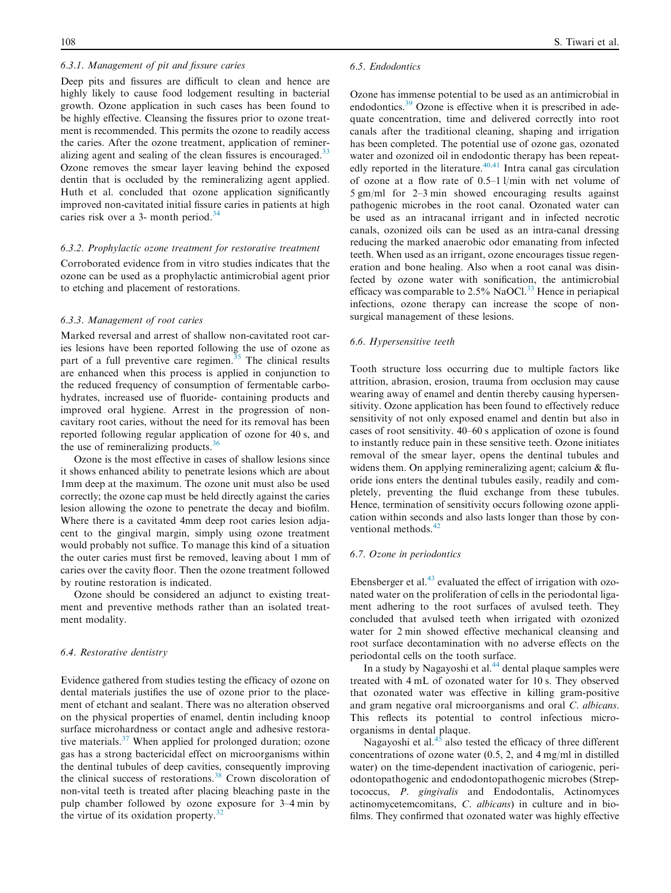# 6.3.1. Management of pit and fissure caries

Deep pits and fissures are difficult to clean and hence are highly likely to cause food lodgement resulting in bacterial growth. Ozone application in such cases has been found to be highly effective. Cleansing the fissures prior to ozone treatment is recommended. This permits the ozone to readily access the caries. After the ozone treatment, application of remineralizing agent and sealing of the clean fissures is encouraged.<sup>33</sup> Ozone removes the smear layer leaving behind the exposed dentin that is occluded by the remineralizing agent applied. Huth et al. concluded that ozone application significantly improved non-cavitated initial fissure caries in patients at high caries risk over a 3- month period.<sup>[34](#page-5-0)</sup>

#### 6.3.2. Prophylactic ozone treatment for restorative treatment

Corroborated evidence from in vitro studies indicates that the ozone can be used as a prophylactic antimicrobial agent prior to etching and placement of restorations.

# 6.3.3. Management of root caries

Marked reversal and arrest of shallow non-cavitated root caries lesions have been reported following the use of ozone as part of a full preventive care regimen.<sup>[35](#page-6-0)</sup> The clinical results are enhanced when this process is applied in conjunction to the reduced frequency of consumption of fermentable carbohydrates, increased use of fluoride- containing products and improved oral hygiene. Arrest in the progression of noncavitary root caries, without the need for its removal has been reported following regular application of ozone for 40 s, and the use of remineralizing products.<sup>[36](#page-6-0)</sup>

Ozone is the most effective in cases of shallow lesions since it shows enhanced ability to penetrate lesions which are about 1mm deep at the maximum. The ozone unit must also be used correctly; the ozone cap must be held directly against the caries lesion allowing the ozone to penetrate the decay and biofilm. Where there is a cavitated 4mm deep root caries lesion adjacent to the gingival margin, simply using ozone treatment would probably not suffice. To manage this kind of a situation the outer caries must first be removed, leaving about 1 mm of caries over the cavity floor. Then the ozone treatment followed by routine restoration is indicated.

Ozone should be considered an adjunct to existing treatment and preventive methods rather than an isolated treatment modality.

#### 6.4. Restorative dentistry

Evidence gathered from studies testing the efficacy of ozone on dental materials justifies the use of ozone prior to the placement of etchant and sealant. There was no alteration observed on the physical properties of enamel, dentin including knoop surface microhardness or contact angle and adhesive restora-tive materials.<sup>[37](#page-6-0)</sup> When applied for prolonged duration; ozone gas has a strong bactericidal effect on microorganisms within the dentinal tubules of deep cavities, consequently improving the clinical success of restorations.<sup>[38](#page-6-0)</sup> Crown discoloration of non-vital teeth is treated after placing bleaching paste in the pulp chamber followed by ozone exposure for 3–4 min by the virtue of its oxidation property.<sup>3</sup>

#### 6.5. Endodontics

Ozone has immense potential to be used as an antimicrobial in endodontics.<sup>[39](#page-6-0)</sup> Ozone is effective when it is prescribed in adequate concentration, time and delivered correctly into root canals after the traditional cleaning, shaping and irrigation has been completed. The potential use of ozone gas, ozonated water and ozonized oil in endodontic therapy has been repeatedly reported in the literature. $40,41$  Intra canal gas circulation of ozone at a flow rate of 0.5–1 l/min with net volume of 5 gm/ml for 2–3 min showed encouraging results against pathogenic microbes in the root canal. Ozonated water can be used as an intracanal irrigant and in infected necrotic canals, ozonized oils can be used as an intra-canal dressing reducing the marked anaerobic odor emanating from infected teeth. When used as an irrigant, ozone encourages tissue regeneration and bone healing. Also when a root canal was disinfected by ozone water with sonification, the antimicrobial efficacy was comparable to  $2.5\%$  NaOCl.<sup>[33](#page-5-0)</sup> Hence in periapical infections, ozone therapy can increase the scope of nonsurgical management of these lesions.

# 6.6. Hypersensitive teeth

Tooth structure loss occurring due to multiple factors like attrition, abrasion, erosion, trauma from occlusion may cause wearing away of enamel and dentin thereby causing hypersensitivity. Ozone application has been found to effectively reduce sensitivity of not only exposed enamel and dentin but also in cases of root sensitivity. 40–60 s application of ozone is found to instantly reduce pain in these sensitive teeth. Ozone initiates removal of the smear layer, opens the dentinal tubules and widens them. On applying remineralizing agent; calcium & fluoride ions enters the dentinal tubules easily, readily and completely, preventing the fluid exchange from these tubules. Hence, termination of sensitivity occurs following ozone application within seconds and also lasts longer than those by con-ventional methods.<sup>[42](#page-6-0)</sup>

## 6.7. Ozone in periodontics

Ebensberger et al. $^{43}$  $^{43}$  $^{43}$  evaluated the effect of irrigation with ozonated water on the proliferation of cells in the periodontal ligament adhering to the root surfaces of avulsed teeth. They concluded that avulsed teeth when irrigated with ozonized water for 2 min showed effective mechanical cleansing and root surface decontamination with no adverse effects on the periodontal cells on the tooth surface.

In a study by Nagayoshi et al. $44$  dental plaque samples were treated with 4 mL of ozonated water for 10 s. They observed that ozonated water was effective in killing gram-positive and gram negative oral microorganisms and oral C. albicans. This reflects its potential to control infectious microorganisms in dental plaque.

Nagayoshi et al. $45$  also tested the efficacy of three different concentrations of ozone water (0.5, 2, and 4 mg/ml in distilled water) on the time-dependent inactivation of cariogenic, periodontopathogenic and endodontopathogenic microbes (Streptococcus, P. gingivalis and Endodontalis, Actinomyces actinomycetemcomitans, C. albicans) in culture and in biofilms. They confirmed that ozonated water was highly effective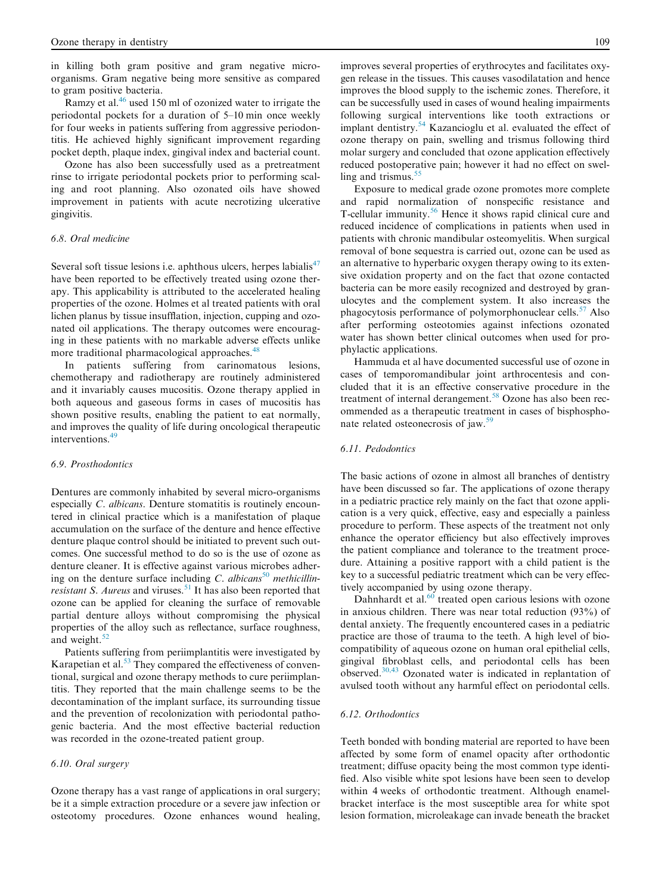in killing both gram positive and gram negative microorganisms. Gram negative being more sensitive as compared to gram positive bacteria.

Ramzy et al.<sup>[46](#page-6-0)</sup> used 150 ml of ozonized water to irrigate the periodontal pockets for a duration of 5–10 min once weekly for four weeks in patients suffering from aggressive periodontitis. He achieved highly significant improvement regarding pocket depth, plaque index, gingival index and bacterial count.

Ozone has also been successfully used as a pretreatment rinse to irrigate periodontal pockets prior to performing scaling and root planning. Also ozonated oils have showed improvement in patients with acute necrotizing ulcerative gingivitis.

# 6.8. Oral medicine

Several soft tissue lesions i.e. aphthous ulcers, herpes labialis $47$ have been reported to be effectively treated using ozone therapy. This applicability is attributed to the accelerated healing properties of the ozone. Holmes et al treated patients with oral lichen planus by tissue insufflation, injection, cupping and ozonated oil applications. The therapy outcomes were encouraging in these patients with no markable adverse effects unlike more traditional pharmacological approaches.<sup>[48](#page-6-0)</sup>

In patients suffering from carinomatous lesions, chemotherapy and radiotherapy are routinely administered and it invariably causes mucositis. Ozone therapy applied in both aqueous and gaseous forms in cases of mucositis has shown positive results, enabling the patient to eat normally, and improves the quality of life during oncological therapeutic interventions.[49](#page-6-0)

# 6.9. Prosthodontics

Dentures are commonly inhabited by several micro-organisms especially C. albicans. Denture stomatitis is routinely encountered in clinical practice which is a manifestation of plaque accumulation on the surface of the denture and hence effective denture plaque control should be initiated to prevent such outcomes. One successful method to do so is the use of ozone as denture cleaner. It is effective against various microbes adher-ing on the denture surface including C. albicans<sup>[50](#page-6-0)</sup> methicillin-resistant S. Aureus and viruses.<sup>[51](#page-6-0)</sup> It has also been reported that ozone can be applied for cleaning the surface of removable partial denture alloys without compromising the physical properties of the alloy such as reflectance, surface roughness, and weight. $52$ 

Patients suffering from periimplantitis were investigated by Karapetian et al. $53$  They compared the effectiveness of conventional, surgical and ozone therapy methods to cure periimplantitis. They reported that the main challenge seems to be the decontamination of the implant surface, its surrounding tissue and the prevention of recolonization with periodontal pathogenic bacteria. And the most effective bacterial reduction was recorded in the ozone-treated patient group.

# 6.10. Oral surgery

Ozone therapy has a vast range of applications in oral surgery; be it a simple extraction procedure or a severe jaw infection or osteotomy procedures. Ozone enhances wound healing, improves several properties of erythrocytes and facilitates oxygen release in the tissues. This causes vasodilatation and hence improves the blood supply to the ischemic zones. Therefore, it can be successfully used in cases of wound healing impairments following surgical interventions like tooth extractions or implant dentistry.<sup>[54](#page-6-0)</sup> Kazancioglu et al. evaluated the effect of ozone therapy on pain, swelling and trismus following third molar surgery and concluded that ozone application effectively reduced postoperative pain; however it had no effect on swelling and trismus. $55$ 

Exposure to medical grade ozone promotes more complete and rapid normalization of nonspecific resistance and T-cellular immunity.[56](#page-6-0) Hence it shows rapid clinical cure and reduced incidence of complications in patients when used in patients with chronic mandibular osteomyelitis. When surgical removal of bone sequestra is carried out, ozone can be used as an alternative to hyperbaric oxygen therapy owing to its extensive oxidation property and on the fact that ozone contacted bacteria can be more easily recognized and destroyed by granulocytes and the complement system. It also increases the phagocytosis performance of polymorphonuclear cells.<sup>[57](#page-6-0)</sup> Also after performing osteotomies against infections ozonated water has shown better clinical outcomes when used for prophylactic applications.

Hammuda et al have documented successful use of ozone in cases of temporomandibular joint arthrocentesis and concluded that it is an effective conservative procedure in the treatment of internal derangement.<sup>[58](#page-6-0)</sup> Ozone has also been recommended as a therapeutic treatment in cases of bisphosphonate related osteonecrosis of jaw. $59$ 

# 6.11. Pedodontics

The basic actions of ozone in almost all branches of dentistry have been discussed so far. The applications of ozone therapy in a pediatric practice rely mainly on the fact that ozone application is a very quick, effective, easy and especially a painless procedure to perform. These aspects of the treatment not only enhance the operator efficiency but also effectively improves the patient compliance and tolerance to the treatment procedure. Attaining a positive rapport with a child patient is the key to a successful pediatric treatment which can be very effectively accompanied by using ozone therapy.

Dahnhardt et al.<sup>[60](#page-6-0)</sup> treated open carious lesions with ozone in anxious children. There was near total reduction (93%) of dental anxiety. The frequently encountered cases in a pediatric practice are those of trauma to the teeth. A high level of biocompatibility of aqueous ozone on human oral epithelial cells, gingival fibroblast cells, and periodontal cells has been observed.[30,43](#page-5-0) Ozonated water is indicated in replantation of avulsed tooth without any harmful effect on periodontal cells.

# 6.12. Orthodontics

Teeth bonded with bonding material are reported to have been affected by some form of enamel opacity after orthodontic treatment; diffuse opacity being the most common type identified. Also visible white spot lesions have been seen to develop within 4 weeks of orthodontic treatment. Although enamelbracket interface is the most susceptible area for white spot lesion formation, microleakage can invade beneath the bracket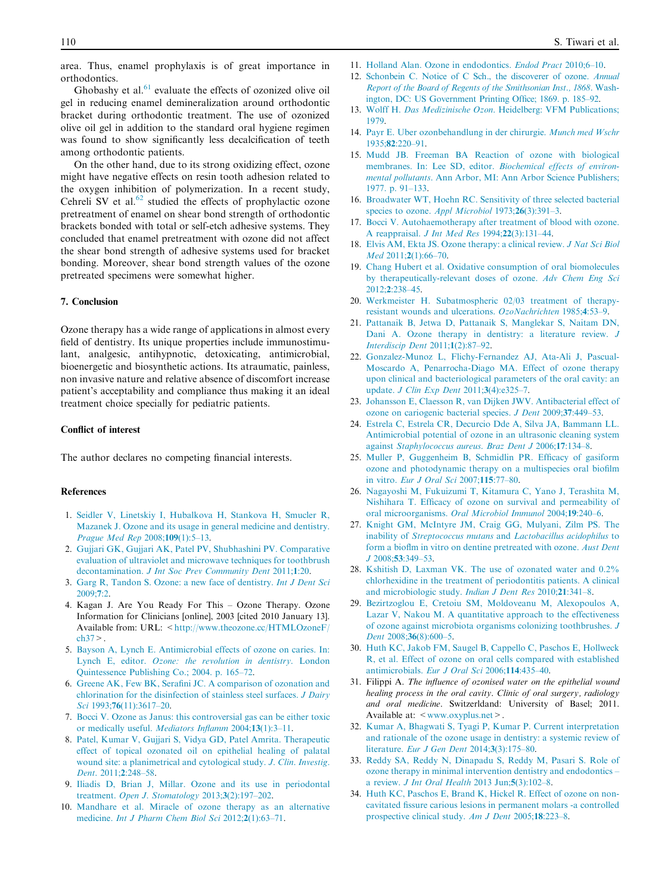<span id="page-5-0"></span>area. Thus, enamel prophylaxis is of great importance in orthodontics.

Ghobashy et al. $61$  evaluate the effects of ozonized olive oil gel in reducing enamel demineralization around orthodontic bracket during orthodontic treatment. The use of ozonized olive oil gel in addition to the standard oral hygiene regimen was found to show significantly less decalcification of teeth among orthodontic patients.

On the other hand, due to its strong oxidizing effect, ozone might have negative effects on resin tooth adhesion related to the oxygen inhibition of polymerization. In a recent study, Cehreli SV et al. $62$  studied the effects of prophylactic ozone pretreatment of enamel on shear bond strength of orthodontic brackets bonded with total or self-etch adhesive systems. They concluded that enamel pretreatment with ozone did not affect the shear bond strength of adhesive systems used for bracket bonding. Moreover, shear bond strength values of the ozone pretreated specimens were somewhat higher.

# 7. Conclusion

Ozone therapy has a wide range of applications in almost every field of dentistry. Its unique properties include immunostimulant, analgesic, antihypnotic, detoxicating, antimicrobial, bioenergetic and biosynthetic actions. Its atraumatic, painless, non invasive nature and relative absence of discomfort increase patient's acceptability and compliance thus making it an ideal treatment choice specially for pediatric patients.

# Conflict of interest

The author declares no competing financial interests.

## References

- 1. [Seidler V, Linetskiy I, Hubalkova H, Stankova H, Smucler R,](http://refhub.elsevier.com/S2352-0035(16)30026-0/h0005) [Mazanek J. Ozone and its usage in general medicine and dentistry.](http://refhub.elsevier.com/S2352-0035(16)30026-0/h0005) [Prague Med Rep](http://refhub.elsevier.com/S2352-0035(16)30026-0/h0005) 2008;109(1):5–13.
- 2. [Gujjari GK, Gujjari AK, Patel PV, Shubhashini PV. Comparative](http://refhub.elsevier.com/S2352-0035(16)30026-0/h0010) [evaluation of ultraviolet and microwave techniques for toothbrush](http://refhub.elsevier.com/S2352-0035(16)30026-0/h0010) decontamination. [J Int Soc Prev Community Dent](http://refhub.elsevier.com/S2352-0035(16)30026-0/h0010) 2011;1:20.
- 3. [Garg R, Tandon S. Ozone: a new face of dentistry.](http://refhub.elsevier.com/S2352-0035(16)30026-0/h0015) Int J Dent Sci [2009;](http://refhub.elsevier.com/S2352-0035(16)30026-0/h0015)7:2.
- 4. Kagan J. Are You Ready For This Ozone Therapy. Ozone Information for Clinicians [online], 2003 [cited 2010 January 13]. Available from: URL: <[http://www.theozone.cc/HTMLOzoneF/](http://www.theozone.cc/HTMLOzoneF/ch37) [ch37>](http://www.theozone.cc/HTMLOzoneF/ch37).
- 5. [Bayson A, Lynch E. Antimicrobial effects of ozone on caries. In:](http://refhub.elsevier.com/S2352-0035(16)30026-0/h0025) Lynch E, editor. [Ozone: the revolution in dentistry](http://refhub.elsevier.com/S2352-0035(16)30026-0/h0025). London [Quintessence Publishing Co.; 2004. p. 165–72](http://refhub.elsevier.com/S2352-0035(16)30026-0/h0025).
- 6. [Greene AK, Few BK, Serafini JC. A comparison of ozonation and](http://refhub.elsevier.com/S2352-0035(16)30026-0/h0030) [chlorination for the disinfection of stainless steel surfaces.](http://refhub.elsevier.com/S2352-0035(16)30026-0/h0030) J Dairy Sci 1993;76(11):3617-20.
- 7. [Bocci V. Ozone as Janus: this controversial gas can be either toxic](http://refhub.elsevier.com/S2352-0035(16)30026-0/h0035) [or medically useful.](http://refhub.elsevier.com/S2352-0035(16)30026-0/h0035) Mediators Inflamm 2004;13(1):3–11.
- 8. [Patel, Kumar V, Gujjari S, Vidya GD, Patel Amrita. Therapeutic](http://refhub.elsevier.com/S2352-0035(16)30026-0/h0040) [effect of topical ozonated oil on epithelial healing of palatal](http://refhub.elsevier.com/S2352-0035(16)30026-0/h0040) [wound site: a planimetrical and cytological study.](http://refhub.elsevier.com/S2352-0035(16)30026-0/h0040) *J. Clin. Investig.* Dent. 2011;2[:248–58](http://refhub.elsevier.com/S2352-0035(16)30026-0/h0040).
- 9. [Iliadis D, Brian J, Millar. Ozone and its use in periodontal](http://refhub.elsevier.com/S2352-0035(16)30026-0/h0045) treatment. [Open J. Stomatology](http://refhub.elsevier.com/S2352-0035(16)30026-0/h0045) 2013;3(2):197–202.
- 10. [Mandhare et al. Miracle of ozone therapy as an alternative](http://refhub.elsevier.com/S2352-0035(16)30026-0/h0050) medicine. [Int J Pharm Chem Biol Sci](http://refhub.elsevier.com/S2352-0035(16)30026-0/h0050) 2012;2(1):63–71.
- 11. [Holland Alan. Ozone in endodontics.](http://refhub.elsevier.com/S2352-0035(16)30026-0/h0055) Endod Pract 2010;6-10.
- 12. [Schonbein C. Notice of C Sch., the discoverer of ozone.](http://refhub.elsevier.com/S2352-0035(16)30026-0/h0060) Annual [Report of the Board of Regents of the Smithsonian Inst., 1868](http://refhub.elsevier.com/S2352-0035(16)30026-0/h0060). Wash[ington, DC: US Government Printing Office; 1869. p. 185–92](http://refhub.elsevier.com/S2352-0035(16)30026-0/h0060).
- 13. Wolff H. Das Medizinische Ozon[. Heidelberg: VFM Publications;](http://refhub.elsevier.com/S2352-0035(16)30026-0/h0065) [1979](http://refhub.elsevier.com/S2352-0035(16)30026-0/h0065).
- 14. [Payr E. Uber ozonbehandlung in der chirurgie.](http://refhub.elsevier.com/S2352-0035(16)30026-0/h0070) Munch med Wschr 1935;82[:220–91](http://refhub.elsevier.com/S2352-0035(16)30026-0/h0070).
- 15. [Mudd JB. Freeman BA Reaction of ozone with biological](http://refhub.elsevier.com/S2352-0035(16)30026-0/h0075) [membranes. In: Lee SD, editor.](http://refhub.elsevier.com/S2352-0035(16)30026-0/h0075) Biochemical effects of environmental pollutants[. Ann Arbor, MI: Ann Arbor Science Publishers;](http://refhub.elsevier.com/S2352-0035(16)30026-0/h0075) [1977. p. 91–133.](http://refhub.elsevier.com/S2352-0035(16)30026-0/h0075)
- 16. [Broadwater WT, Hoehn RC. Sensitivity of three selected bacterial](http://refhub.elsevier.com/S2352-0035(16)30026-0/h0080) [species to ozone.](http://refhub.elsevier.com/S2352-0035(16)30026-0/h0080) Appl Microbiol 1973;26(3):391-3.
- 17. [Bocci V. Autohaemotherapy after treatment of blood with ozone.](http://refhub.elsevier.com/S2352-0035(16)30026-0/h0085) A reappraisal. [J Int Med Res](http://refhub.elsevier.com/S2352-0035(16)30026-0/h0085) 1994;22(3):131–44.
- 18. [Elvis AM, Ekta JS. Ozone therapy: a clinical review.](http://refhub.elsevier.com/S2352-0035(16)30026-0/h0090) J Nat Sci Biol Med 2011;2(1):66-70.
- 19. [Chang Hubert et al. Oxidative consumption of oral biomolecules](http://refhub.elsevier.com/S2352-0035(16)30026-0/h0095) [by therapeutically-relevant doses of ozone.](http://refhub.elsevier.com/S2352-0035(16)30026-0/h0095) Adv Chem Eng Sci 2012;2[:238–45](http://refhub.elsevier.com/S2352-0035(16)30026-0/h0095).
- 20. [Werkmeister H. Subatmospheric 02/03 treatment of therapy](http://refhub.elsevier.com/S2352-0035(16)30026-0/h0100)[resistant wounds and ulcerations.](http://refhub.elsevier.com/S2352-0035(16)30026-0/h0100) OzoNachrichten 1985;4:53–9.
- 21. [Pattanaik B, Jetwa D, Pattanaik S, Manglekar S, Naitam DN,](http://refhub.elsevier.com/S2352-0035(16)30026-0/h0105) [Dani A. Ozone therapy in dentistry: a literature review.](http://refhub.elsevier.com/S2352-0035(16)30026-0/h0105) J [Interdiscip Dent](http://refhub.elsevier.com/S2352-0035(16)30026-0/h0105) 2011;1(2):87–92.
- 22. [Gonzalez-Munoz L, Flichy-Fernandez AJ, Ata-Ali J, Pascual-](http://refhub.elsevier.com/S2352-0035(16)30026-0/h0110)[Moscardo A, Penarrocha-Diago MA. Effect of ozone therapy](http://refhub.elsevier.com/S2352-0035(16)30026-0/h0110) [upon clinical and bacteriological parameters of the oral cavity: an](http://refhub.elsevier.com/S2352-0035(16)30026-0/h0110) update. *[J Clin Exp Dent](http://refhub.elsevier.com/S2352-0035(16)30026-0/h0110)* 2011:3(4):e325-7.
- 23. [Johansson E, Claesson R, van Dijken JWV. Antibacterial effect of](http://refhub.elsevier.com/S2352-0035(16)30026-0/h0115) [ozone on cariogenic bacterial species.](http://refhub.elsevier.com/S2352-0035(16)30026-0/h0115) J Dent 2009;37:449–53.
- 24. [Estrela C, Estrela CR, Decurcio Dde A, Silva JA, Bammann LL.](http://refhub.elsevier.com/S2352-0035(16)30026-0/h0120) [Antimicrobial potential of ozone in an ultrasonic cleaning system](http://refhub.elsevier.com/S2352-0035(16)30026-0/h0120) against [Staphylococcus aureus](http://refhub.elsevier.com/S2352-0035(16)30026-0/h0120). Braz Dent J 2006;17:134–8.
- 25. [Muller P, Guggenheim B, Schmidlin PR. Efficacy of gasiform](http://refhub.elsevier.com/S2352-0035(16)30026-0/h0125) [ozone and photodynamic therapy on a multispecies oral biofilm](http://refhub.elsevier.com/S2352-0035(16)30026-0/h0125) in vitro. [Eur J Oral Sci](http://refhub.elsevier.com/S2352-0035(16)30026-0/h0125) 2007;115:77–80.
- 26. [Nagayoshi M, Fukuizumi T, Kitamura C, Yano J, Terashita M,](http://refhub.elsevier.com/S2352-0035(16)30026-0/h0130) [Nishihara T. Efficacy of ozone on survival and permeability of](http://refhub.elsevier.com/S2352-0035(16)30026-0/h0130) oral microorganisms. [Oral Microbiol Immunol](http://refhub.elsevier.com/S2352-0035(16)30026-0/h0130) 2004;19:240–6.
- 27. [Knight GM, McIntyre JM, Craig GG, Mulyani, Zilm PS. The](http://refhub.elsevier.com/S2352-0035(16)30026-0/h0135) inability of Streptococcus mutans and [Lactobacillus acidophilus](http://refhub.elsevier.com/S2352-0035(16)30026-0/h0135) to [form a bioflm in vitro on dentine pretreated with ozone.](http://refhub.elsevier.com/S2352-0035(16)30026-0/h0135) Aust Dent J 2008;53[:349–53.](http://refhub.elsevier.com/S2352-0035(16)30026-0/h0135)
- 28. [Kshitish D, Laxman VK. The use of ozonated water and 0.2%](http://refhub.elsevier.com/S2352-0035(16)30026-0/h0140) [chlorhexidine in the treatment of periodontitis patients. A clinical](http://refhub.elsevier.com/S2352-0035(16)30026-0/h0140) [and microbiologic study.](http://refhub.elsevier.com/S2352-0035(16)30026-0/h0140) Indian J Dent Res 2010;21:341–8.
- 29. [Bezirtzoglou E, Cretoiu SM, Moldoveanu M, Alexopoulos A,](http://refhub.elsevier.com/S2352-0035(16)30026-0/h0145) [Lazar V, Nakou M. A quantitative approach to the effectiveness](http://refhub.elsevier.com/S2352-0035(16)30026-0/h0145) [of ozone against microbiota organisms colonizing toothbrushes.](http://refhub.elsevier.com/S2352-0035(16)30026-0/h0145) J Dent 2008;36(8):600-5.
- 30. [Huth KC, Jakob FM, Saugel B, Cappello C, Paschos E, Hollweck](http://refhub.elsevier.com/S2352-0035(16)30026-0/h0150) [R, et al. Effect of ozone on oral cells compared with established](http://refhub.elsevier.com/S2352-0035(16)30026-0/h0150) [antimicrobials.](http://refhub.elsevier.com/S2352-0035(16)30026-0/h0150) Eur J Oral Sci 2006;114:435–40.
- 31. Filippi A. The influence of ozonised water on the epithelial wound healing process in the oral cavity. Clinic of oral surgery, radiology and oral medicine. Switzerldand: University of Basel; 2011. Available at:  $\langle$  www.oxyplus.net >.
- 32. [Kumar A, Bhagwati S, Tyagi P, Kumar P. Current interpretation](http://refhub.elsevier.com/S2352-0035(16)30026-0/h0160) [and rationale of the ozone usage in dentistry: a systemic review of](http://refhub.elsevier.com/S2352-0035(16)30026-0/h0160) literature. [Eur J Gen Dent](http://refhub.elsevier.com/S2352-0035(16)30026-0/h0160) 2014;3(3):175–80.
- 33. [Reddy SA, Reddy N, Dinapadu S, Reddy M, Pasari S. Role of](http://refhub.elsevier.com/S2352-0035(16)30026-0/h0165) [ozone therapy in minimal intervention dentistry and endodontics –](http://refhub.elsevier.com/S2352-0035(16)30026-0/h0165) a review. [J Int Oral Health](http://refhub.elsevier.com/S2352-0035(16)30026-0/h0165) 2013 Jun;5(3):102–8.
- 34. [Huth KC, Paschos E, Brand K, Hickel R. Effect of ozone on non](http://refhub.elsevier.com/S2352-0035(16)30026-0/h0170)[cavitated fissure carious lesions in permanent molars -a controlled](http://refhub.elsevier.com/S2352-0035(16)30026-0/h0170) [prospective clinical study.](http://refhub.elsevier.com/S2352-0035(16)30026-0/h0170) Am J Dent 2005;18:223–8.